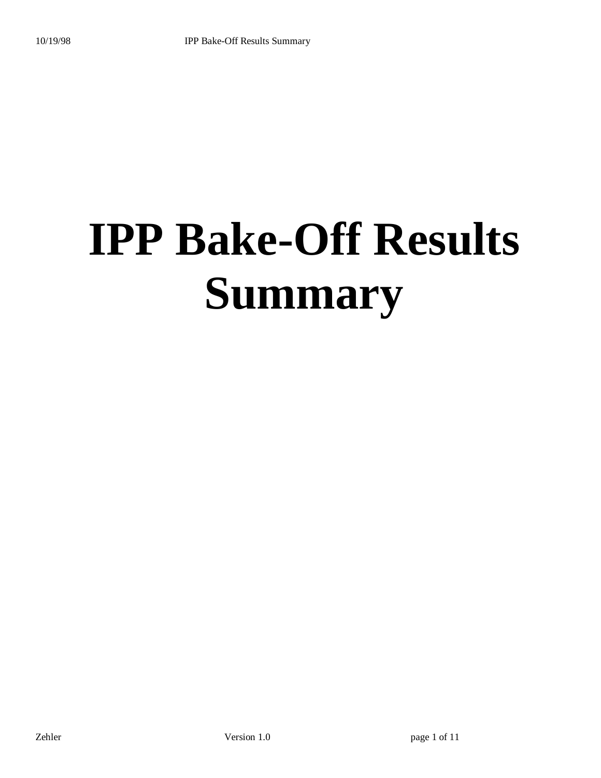# **IPP Bake-Off Results Summary**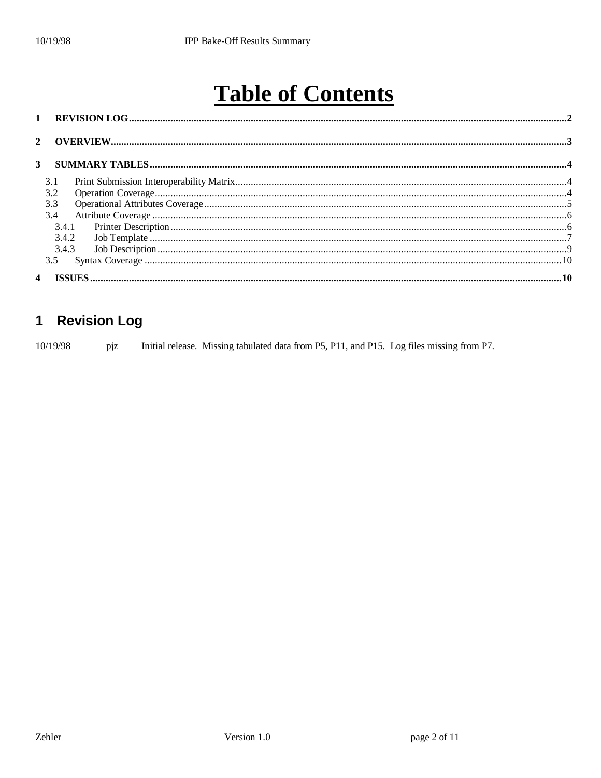# **Table of Contents**

#### **Revision Log**  $\mathbf 1$

Initial release. Missing tabulated data from P5, P11, and P15. Log files missing from P7. 10/19/98 pjz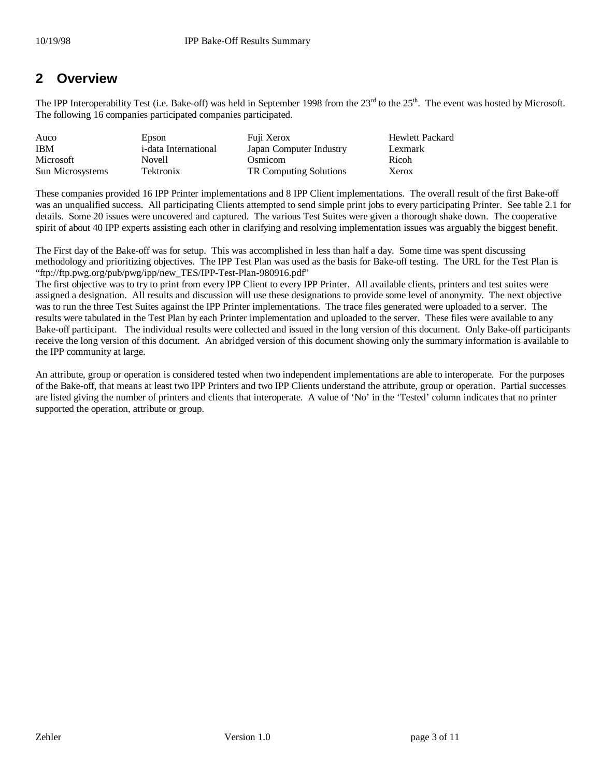#### **2 Overview**

The IPP Interoperability Test (i.e. Bake-off) was held in September 1998 from the 23<sup>rd</sup> to the 25<sup>th</sup>. The event was hosted by Microsoft. The following 16 companies participated companies participated.

| Auco             | Epson                        | Fuji Xerox              | <b>Hewlett Packard</b> |
|------------------|------------------------------|-------------------------|------------------------|
| <b>IBM</b>       | <i>i</i> -data International | Japan Computer Industry | Lexmark                |
| Microsoft        | Novell                       | <b>Osmicom</b>          | Ricoh                  |
| Sun Microsystems | <b>Tektronix</b>             | TR Computing Solutions  | Xerox                  |

These companies provided 16 IPP Printer implementations and 8 IPP Client implementations. The overall result of the first Bake-off was an unqualified success. All participating Clients attempted to send simple print jobs to every participating Printer. See table 2.1 for details. Some 20 issues were uncovered and captured. The various Test Suites were given a thorough shake down. The cooperative spirit of about 40 IPP experts assisting each other in clarifying and resolving implementation issues was arguably the biggest benefit.

The First day of the Bake-off was for setup. This was accomplished in less than half a day. Some time was spent discussing methodology and prioritizing objectives. The IPP Test Plan was used as the basis for Bake-off testing. The URL for the Test Plan is "ftp://ftp.pwg.org/pub/pwg/ipp/new\_TES/IPP-Test-Plan-980916.pdf"

The first objective was to try to print from every IPP Client to every IPP Printer. All available clients, printers and test suites were assigned a designation. All results and discussion will use these designations to provide some level of anonymity. The next objective was to run the three Test Suites against the IPP Printer implementations. The trace files generated were uploaded to a server. The results were tabulated in the Test Plan by each Printer implementation and uploaded to the server. These files were available to any Bake-off participant. The individual results were collected and issued in the long version of this document. Only Bake-off participants receive the long version of this document. An abridged version of this document showing only the summary information is available to the IPP community at large.

An attribute, group or operation is considered tested when two independent implementations are able to interoperate. For the purposes of the Bake-off, that means at least two IPP Printers and two IPP Clients understand the attribute, group or operation. Partial successes are listed giving the number of printers and clients that interoperate. A value of 'No' in the 'Tested' column indicates that no printer supported the operation, attribute or group.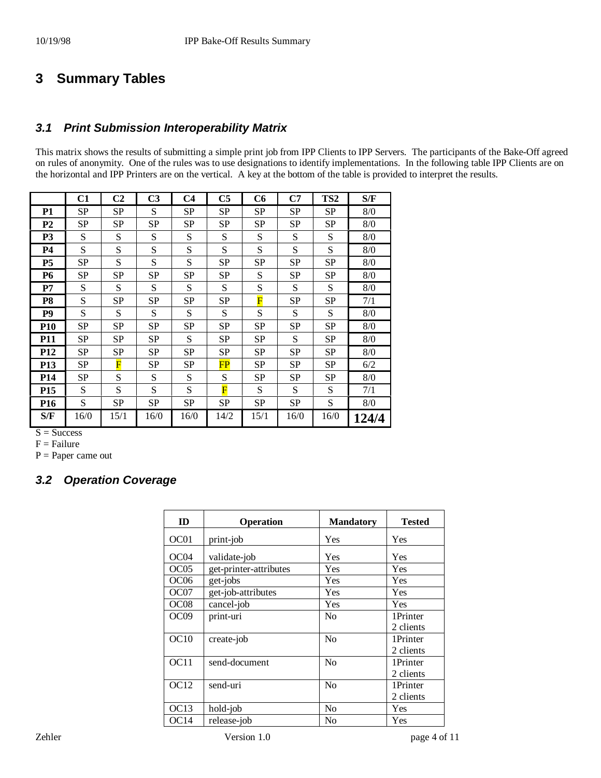#### **3 Summary Tables**

#### *3.1 Print Submission Interoperability Matrix*

This matrix shows the results of submitting a simple print job from IPP Clients to IPP Servers. The participants of the Bake-Off agreed on rules of anonymity. One of the rules was to use designations to identify implementations. In the following table IPP Clients are on the horizontal and IPP Printers are on the vertical. A key at the bottom of the table is provided to interpret the results.

|                 | C1        | C <sub>2</sub>          | C <sub>3</sub> | C <sub>4</sub> | C <sub>5</sub>          | C6   | C7   | TS <sub>2</sub> | S/F   |
|-----------------|-----------|-------------------------|----------------|----------------|-------------------------|------|------|-----------------|-------|
| <b>P1</b>       | <b>SP</b> | <b>SP</b>               | S              | <b>SP</b>      | <b>SP</b>               | SP   | SP   | <b>SP</b>       | 8/0   |
| P <sub>2</sub>  | <b>SP</b> | <b>SP</b>               | SP             | <b>SP</b>      | <b>SP</b>               | SP   | SP   | SP              | 8/0   |
| P <sub>3</sub>  | S         | S                       | S              | S              | S                       | S    | S    | S               | 8/0   |
| <b>P4</b>       | S         | S                       | S              | S              | S                       | S    | S    | S               | 8/0   |
| P <sub>5</sub>  | <b>SP</b> | S                       | S              | S              | <b>SP</b>               | SP   | SP   | <b>SP</b>       | 8/0   |
| <b>P6</b>       | <b>SP</b> | <b>SP</b>               | SP             | <b>SP</b>      | <b>SP</b>               | S    | SP   | <b>SP</b>       | 8/0   |
| P7              | S         | S                       | S              | S              | S                       | S    | S    | S               | 8/0   |
| P8              | S         | <b>SP</b>               | SP             | <b>SP</b>      | <b>SP</b>               | F    | SP   | <b>SP</b>       | 7/1   |
| P <sub>9</sub>  | S         | S                       | S              | S              | S                       | S    | S    | S               | 8/0   |
| <b>P10</b>      | <b>SP</b> | <b>SP</b>               | SP             | <b>SP</b>      | <b>SP</b>               | SP   | SP   | <b>SP</b>       | 8/0   |
| <b>P11</b>      | <b>SP</b> | <b>SP</b>               | SP             | S              | <b>SP</b>               | SP   | S    | <b>SP</b>       | 8/0   |
| <b>P12</b>      | <b>SP</b> | SP                      | SP             | SP             | SP                      | SP   | SP   | <b>SP</b>       | 8/0   |
| <b>P13</b>      | <b>SP</b> | $\overline{\mathbf{F}}$ | SP             | <b>SP</b>      | $\overline{\text{FP}}$  | SP   | SP   | <b>SP</b>       | 6/2   |
| <b>P14</b>      | <b>SP</b> | S                       | S              | S              | S                       | SP   | SP   | <b>SP</b>       | 8/0   |
| P <sub>15</sub> | S         | S                       | S              | S              | $\overline{\mathrm{F}}$ | S    | S    | S               | 7/1   |
| P <sub>16</sub> | S         | SP                      | SP             | SP             | <b>SP</b>               | SP   | SP   | S               | 8/0   |
| S/F             | 16/0      | 15/1                    | 16/0           | 16/0           | 14/2                    | 15/1 | 16/0 | 16/0            | 124/4 |

 $S = Success$ 

 $F =$ Failure

 $P = Paper$  came out

#### *3.2 Operation Coverage*

| ID               | <b>Operation</b>       | <b>Mandatory</b> | Tested    |
|------------------|------------------------|------------------|-----------|
| OC01             | print-job              | Yes              | Yes       |
| OC04             | validate-job           | Yes              | Yes       |
| OC05             | get-printer-attributes | Yes              | Yes       |
| OC <sub>06</sub> | get-jobs               | Yes              | Yes       |
| OC <sub>07</sub> | get-job-attributes     | Yes              | Yes       |
| OC <sub>08</sub> | cancel-job             | Yes              | Yes       |
| OC <sub>09</sub> | print-uri              | N <sub>0</sub>   | 1Printer  |
|                  |                        |                  | 2 clients |
| OC10             | create-job             | N <sub>0</sub>   | 1Printer  |
|                  |                        |                  | 2 clients |
| OC11             | send-document          | N <sub>0</sub>   | 1Printer  |
|                  |                        |                  | 2 clients |
| OC <sub>12</sub> | send-uri               | N <sub>0</sub>   | 1Printer  |
|                  |                        |                  | 2 clients |
| OC13             | hold-job               | N <sub>0</sub>   | Yes       |
| OC14             | release-job            | N <sub>0</sub>   | Yes       |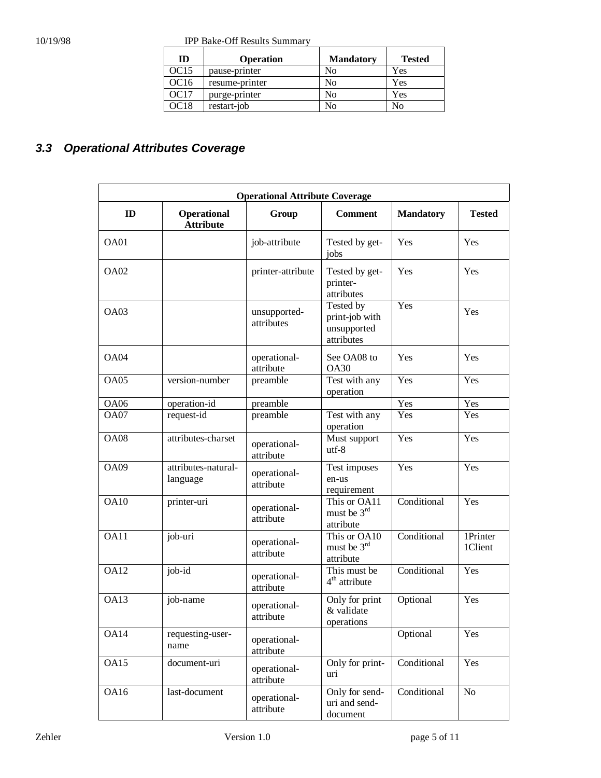10/19/98 IPP Bake-Off Results Summary

| ID   | <b>Operation</b> | <b>Mandatory</b> | <b>Tested</b> |
|------|------------------|------------------|---------------|
| OC15 | pause-printer    | No               | Yes           |
| OC16 | resume-printer   | No               | Yes           |
| OC17 | purge-printer    | No               | Yes           |
| DC18 | restart-job      | No               | No            |

## *3.3 Operational Attributes Coverage*

| <b>Operational Attribute Coverage</b> |                                 |                            |                                                          |                  |                     |  |  |
|---------------------------------------|---------------------------------|----------------------------|----------------------------------------------------------|------------------|---------------------|--|--|
| ID                                    | Operational<br><b>Attribute</b> | Group                      | <b>Comment</b>                                           | <b>Mandatory</b> | <b>Tested</b>       |  |  |
| OA01                                  |                                 | job-attribute              | Tested by get-<br>jobs                                   | Yes              | Yes                 |  |  |
| OA02                                  |                                 | printer-attribute          | Tested by get-<br>printer-<br>attributes                 | Yes              | Yes                 |  |  |
| OA03                                  |                                 | unsupported-<br>attributes | Tested by<br>print-job with<br>unsupported<br>attributes | Yes              | Yes                 |  |  |
| OA04                                  |                                 | operational-<br>attribute  | See OA08 to<br><b>OA30</b>                               | Yes              | Yes                 |  |  |
| OA05                                  | version-number                  | preamble                   | Test with any<br>operation                               | Yes              | Yes                 |  |  |
| <b>OA06</b>                           | operation-id                    | preamble                   |                                                          | Yes              | Yes                 |  |  |
| OA07                                  | request-id                      | preamble                   | Test with any<br>operation                               | Yes              | Yes                 |  |  |
| <b>OA08</b>                           | attributes-charset              | operational-<br>attribute  | Must support<br>$utf-8$                                  | Yes              | Yes                 |  |  |
| OA09                                  | attributes-natural-<br>language | operational-<br>attribute  | Test imposes<br>en-us<br>requirement                     | Yes              | Yes                 |  |  |
| <b>OA10</b>                           | printer-uri                     | operational-<br>attribute  | This or OA11<br>must be 3 <sup>rd</sup><br>attribute     | Conditional      | Yes                 |  |  |
| OA11                                  | job-uri                         | operational-<br>attribute  | This or OA10<br>must be 3 <sup>rd</sup><br>attribute     | Conditional      | 1Printer<br>1Client |  |  |
| <b>OA12</b>                           | job-id                          | operational-<br>attribute  | This must be<br>$4th$ attribute                          | Conditional      | Yes                 |  |  |
| OA13                                  | job-name                        | operational-<br>attribute  | Only for print<br>& validate<br>operations               | Optional         | Yes                 |  |  |
| OA14                                  | requesting-user-<br>name        | operational-<br>attribute  |                                                          | Optional         | Yes                 |  |  |
| OA15                                  | document-uri                    | operational-<br>attribute  | Only for print-<br>uri                                   | Conditional      | Yes                 |  |  |
| <b>OA16</b>                           | last-document                   | operational-<br>attribute  | Only for send-<br>uri and send-<br>document              | Conditional      | No                  |  |  |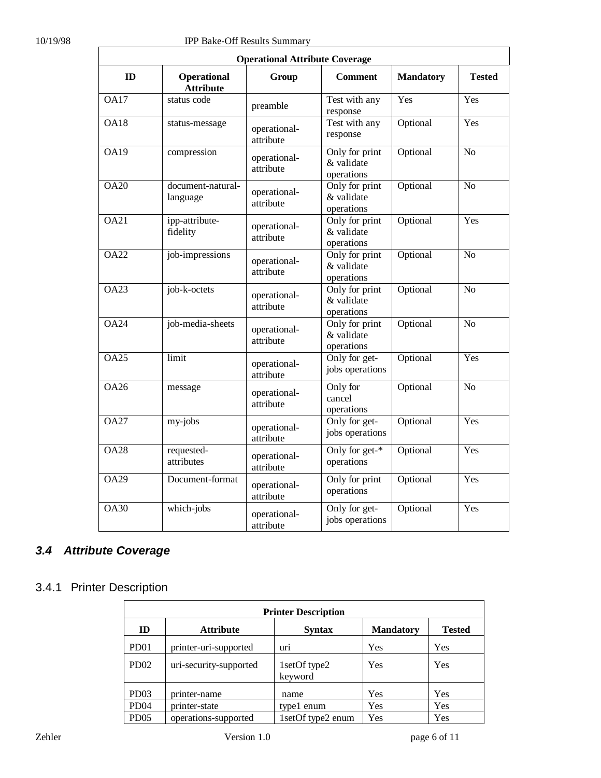|                   |                                 | <b>Operational Attribute Coverage</b> |                                            |                  |                 |
|-------------------|---------------------------------|---------------------------------------|--------------------------------------------|------------------|-----------------|
| ID                | Operational<br><b>Attribute</b> | Group                                 | <b>Comment</b>                             | <b>Mandatory</b> | <b>Tested</b>   |
| <b>OA17</b>       | status code                     | preamble                              | Test with any<br>response                  | Yes              | Yes             |
| <b>OA18</b>       | status-message                  | operational-<br>attribute             | Test with any<br>response                  | Optional         | Yes             |
| <b>OA19</b>       | compression                     | operational-<br>attribute             | Only for print<br>& validate<br>operations | Optional         | No              |
| <b>OA20</b>       | document-natural-<br>language   | operational-<br>attribute             | Only for print<br>& validate<br>operations | Optional         | N <sub>o</sub>  |
| <b>OA21</b>       | ipp-attribute-<br>fidelity      | operational-<br>attribute             | Only for print<br>& validate<br>operations | Optional         | Yes             |
| <b>OA22</b>       | job-impressions                 | operational-<br>attribute             | Only for print<br>& validate<br>operations | Optional         | $\overline{No}$ |
| <b>OA23</b>       | job-k-octets                    | operational-<br>attribute             | Only for print<br>& validate<br>operations | Optional         | N <sub>o</sub>  |
| <b>OA24</b>       | job-media-sheets                | operational-<br>attribute             | Only for print<br>& validate<br>operations | Optional         | N <sub>o</sub>  |
| $\overline{OA25}$ | limit                           | operational-<br>attribute             | Only for get-<br>jobs operations           | Optional         | Yes             |
| <b>OA26</b>       | message                         | operational-<br>attribute             | Only for<br>cancel<br>operations           | Optional         | N <sub>o</sub>  |
| <b>OA27</b>       | my-jobs                         | operational-<br>attribute             | Only for get-<br>jobs operations           | Optional         | Yes             |
| <b>OA28</b>       | requested-<br>attributes        | operational-<br>attribute             | Only for get-*<br>operations               | Optional         | Yes             |
| <b>OA29</b>       | Document-format                 | operational-<br>attribute             | Only for print<br>operations               | Optional         | Yes             |
| <b>OA30</b>       | which-jobs                      | operational-<br>attribute             | Only for get-<br>jobs operations           | Optional         | Yes             |

#### *3.4 Attribute Coverage*

#### 3.4.1 Printer Description

| <b>Printer Description</b> |                        |                         |                  |               |  |  |
|----------------------------|------------------------|-------------------------|------------------|---------------|--|--|
| ID                         | <b>Attribute</b>       | <b>Syntax</b>           | <b>Mandatory</b> | <b>Tested</b> |  |  |
| PD <sub>01</sub>           | printer-uri-supported  | uri                     | Yes              | Yes           |  |  |
| PD02                       | uri-security-supported | 1setOf type2<br>keyword | Yes              | Yes           |  |  |
| PD <sub>03</sub>           | printer-name           | name                    | Yes              | Yes           |  |  |
| PD <sub>04</sub>           | printer-state          | type1 enum              | Yes              | Yes           |  |  |
| PD <sub>05</sub>           | operations-supported   | 1setOf type2 enum       | Yes              | Yes           |  |  |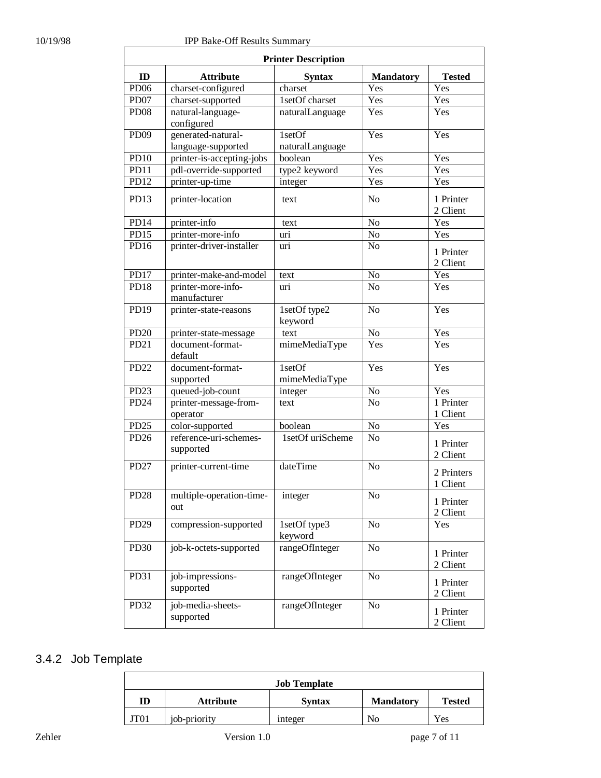| <b>Printer Description</b> |                                     |                         |                  |                        |  |  |
|----------------------------|-------------------------------------|-------------------------|------------------|------------------------|--|--|
| ID                         | <b>Attribute</b>                    | <b>Syntax</b>           | <b>Mandatory</b> | <b>Tested</b>          |  |  |
| PD <sub>06</sub>           | charset-configured                  | charset                 | Yes              | Yes                    |  |  |
| PD <sub>07</sub>           | charset-supported                   | 1setOf charset          | Yes              | Yes                    |  |  |
| PD <sub>08</sub>           | natural-language-<br>configured     | naturalLanguage         | Yes              | Yes                    |  |  |
| <b>PD09</b>                | generated-natural-                  | $1set$ Of               | Yes              | Yes                    |  |  |
|                            | language-supported                  | naturalLanguage         |                  |                        |  |  |
| <b>PD10</b>                | printer-is-accepting-jobs           | boolean                 | Yes              | Yes                    |  |  |
| $\overline{PD11}$          | pdl-override-supported              | type2 keyword           | Yes              | Yes                    |  |  |
| PD12                       | printer-up-time                     | integer                 | Yes              | Yes                    |  |  |
| PD13                       | printer-location                    | text                    | N <sub>o</sub>   | 1 Printer<br>2 Client  |  |  |
| PD14                       | printer-info                        | text                    | N <sub>o</sub>   | Yes                    |  |  |
| PD15                       | printer-more-info                   | uri                     | N <sub>o</sub>   | Yes                    |  |  |
| PD <sub>16</sub>           | printer-driver-installer            | uri                     | N <sub>o</sub>   | 1 Printer<br>2 Client  |  |  |
| PD17                       | printer-make-and-model              | text                    | $\rm No$         | Yes                    |  |  |
| <b>PD18</b>                | printer-more-info-<br>manufacturer  | uri                     | N <sub>o</sub>   | Yes                    |  |  |
| PD19                       | printer-state-reasons               | 1setOf type2<br>keyword | N <sub>o</sub>   | Yes                    |  |  |
| <b>PD20</b>                | printer-state-message               | text                    | N <sub>o</sub>   | Yes                    |  |  |
| PD <sub>21</sub>           | document-format-<br>default         | mimeMediaType           | Yes              | Yes                    |  |  |
| PD <sub>22</sub>           | document-format-<br>supported       | 1setOf<br>mimeMediaType | Yes              | Yes                    |  |  |
| PD <sub>23</sub>           | queued-job-count                    | integer                 | N <sub>o</sub>   | Yes                    |  |  |
| PD <sub>24</sub>           | printer-message-from-<br>operator   | text                    | N <sub>o</sub>   | 1 Printer<br>1 Client  |  |  |
| PD <sub>25</sub>           | color-supported                     | boolean                 | No               | Yes                    |  |  |
| PD <sub>26</sub>           | reference-uri-schemes-<br>supported | 1setOf uriScheme        | N <sub>o</sub>   | 1 Printer<br>2 Client  |  |  |
| PD <sub>27</sub>           | printer-current-time                | dateTime                | N <sub>o</sub>   | 2 Printers<br>1 Client |  |  |
| PD <sub>28</sub>           | multiple-operation-time-<br>out     | integer                 | N <sub>0</sub>   | 1 Printer<br>2 Client  |  |  |
| PD29                       | compression-supported               | 1setOf type3<br>keyword | N <sub>o</sub>   | Yes                    |  |  |
| PD30                       | job-k-octets-supported              | rangeOfInteger          | N <sub>o</sub>   | 1 Printer<br>2 Client  |  |  |
| PD31                       | job-impressions-<br>supported       | rangeOfInteger          | N <sub>o</sub>   | 1 Printer<br>2 Client  |  |  |
| PD32                       | job-media-sheets-<br>supported      | rangeOfInteger          | N <sub>o</sub>   | 1 Printer<br>2 Client  |  |  |

#### 3.4.2 Job Template

| <b>Job Template</b> |              |                |                  |               |  |  |
|---------------------|--------------|----------------|------------------|---------------|--|--|
| ID                  | Attribute    | <b>Syntax</b>  | <b>Mandatory</b> | <b>Tested</b> |  |  |
| JT01                | job-priority | <i>integer</i> | No               | Yes           |  |  |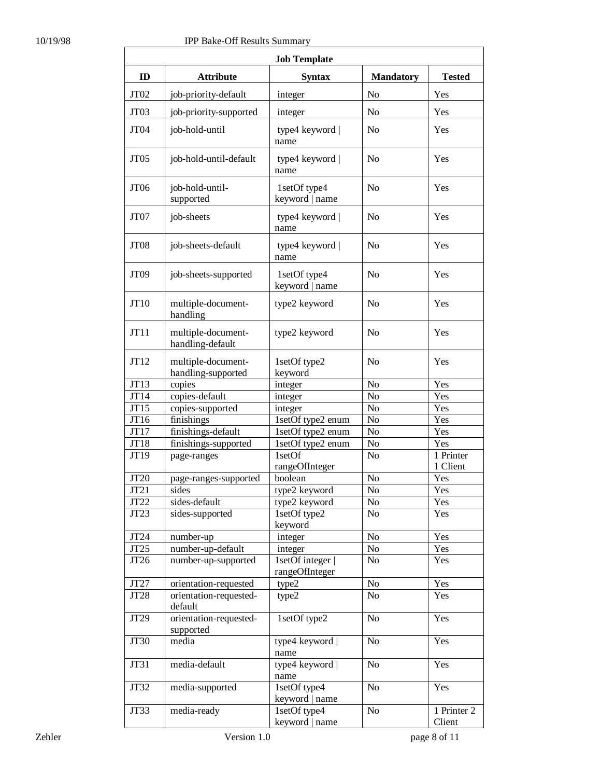| <b>Job Template</b> |                                          |                                    |                  |                       |  |  |  |
|---------------------|------------------------------------------|------------------------------------|------------------|-----------------------|--|--|--|
| ID                  | <b>Attribute</b>                         | <b>Syntax</b>                      | <b>Mandatory</b> | <b>Tested</b>         |  |  |  |
| JT02                | job-priority-default                     | integer                            | No               | Yes                   |  |  |  |
| JT03                | job-priority-supported                   | integer                            | No               | Yes                   |  |  |  |
| JT04                | job-hold-until                           | type4 keyword  <br>name            | No               | Yes                   |  |  |  |
| JT <sub>05</sub>    | job-hold-until-default                   | type4 keyword  <br>name            | No               | Yes                   |  |  |  |
| JT <sub>06</sub>    | job-hold-until-<br>supported             | 1setOf type4<br>keyword   name     | No               | Yes                   |  |  |  |
| JT07                | job-sheets                               | type4 keyword  <br>name            | N <sub>o</sub>   | Yes                   |  |  |  |
| JT <sub>08</sub>    | job-sheets-default                       | type4 keyword  <br>name            | N <sub>o</sub>   | Yes                   |  |  |  |
| JT <sub>09</sub>    | job-sheets-supported                     | 1setOf type4<br>keyword   name     | N <sub>o</sub>   | Yes                   |  |  |  |
| JT10                | multiple-document-<br>handling           | type2 keyword                      | N <sub>0</sub>   | Yes                   |  |  |  |
| JT11                | multiple-document-<br>handling-default   | type2 keyword                      | N <sub>0</sub>   | Yes                   |  |  |  |
| JT12                | multiple-document-<br>handling-supported | 1setOf type2<br>keyword            | N <sub>o</sub>   | Yes                   |  |  |  |
| JT13                | copies                                   | integer                            | No               | Yes                   |  |  |  |
| JT14                | copies-default                           | integer                            | No               | Yes                   |  |  |  |
| JT15                | copies-supported                         | integer                            | No               | Yes                   |  |  |  |
| JT16                | finishings                               | 1setOf type2 enum                  | No               | Yes                   |  |  |  |
| JT17                | finishings-default                       | 1setOf type2 enum                  | No               | Yes                   |  |  |  |
| JT18                | finishings-supported                     | 1setOf type2 enum                  | No               | Yes                   |  |  |  |
| JT19                | page-ranges                              | 1setOf<br>rangeOfInteger           | N <sub>o</sub>   | 1 Printer<br>1 Client |  |  |  |
| JT20                | page-ranges-supported                    | boolean                            | No               | Yes                   |  |  |  |
| JT21                | sides                                    | type2 keyword                      | $\rm No$         | Yes                   |  |  |  |
| JT <sub>22</sub>    | sides-default                            | type2 keyword                      | No               | Yes                   |  |  |  |
| JT <sub>23</sub>    | sides-supported                          | 1setOf type2<br>keyword            | No               | Yes                   |  |  |  |
| JT24                | number-up                                | integer                            | No               | Yes                   |  |  |  |
| JT25                | number-up-default                        | integer                            | No               | Yes                   |  |  |  |
| JT26                | number-up-supported                      | 1setOf integer  <br>rangeOfInteger | No               | Yes                   |  |  |  |
| JT27                | orientation-requested                    | type2                              | No               | Yes                   |  |  |  |
| JT28                | orientation-requested-<br>default        | type2                              | No               | Yes                   |  |  |  |
| JT29                | orientation-requested-<br>supported      | 1setOf type2                       | No               | Yes                   |  |  |  |
| <b>JT30</b>         | media                                    | type4 keyword  <br>name            | No               | Yes                   |  |  |  |
| JT31                | media-default                            | type4 keyword  <br>name            | N <sub>o</sub>   | Yes                   |  |  |  |
| JT32                | media-supported                          | 1setOf type4<br>keyword   name     | N <sub>o</sub>   | Yes                   |  |  |  |
| JT33                | media-ready                              | 1setOf type4<br>keyword   name     | N <sub>o</sub>   | 1 Printer 2<br>Client |  |  |  |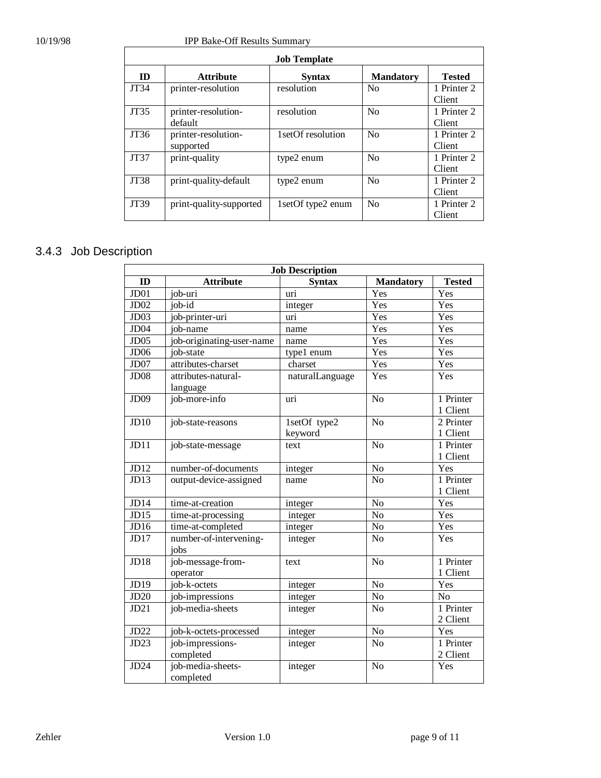#### 10/19/98 IPP Bake-Off Results Summary

| <b>Job Template</b> |                                  |                      |                  |                       |  |  |
|---------------------|----------------------------------|----------------------|------------------|-----------------------|--|--|
| ID                  | <b>Attribute</b>                 | <b>Syntax</b>        | <b>Mandatory</b> | <b>Tested</b>         |  |  |
| JT34                | printer-resolution               | resolution           | N <sub>0</sub>   | 1 Printer 2<br>Client |  |  |
| <b>JT35</b>         | printer-resolution-<br>default   | resolution           | N <sub>0</sub>   | 1 Printer 2<br>Client |  |  |
| JT36                | printer-resolution-<br>supported | 1setOf resolution    | N <sub>0</sub>   | 1 Printer 2<br>Client |  |  |
| <b>JT37</b>         | print-quality                    | type2 enum           | N <sub>0</sub>   | 1 Printer 2<br>Client |  |  |
| <b>JT38</b>         | print-quality-default            | type2 enum           | N <sub>0</sub>   | 1 Printer 2<br>Client |  |  |
| JT39                | print-quality-supported          | 1 set Of type 2 enum | N <sub>0</sub>   | 1 Printer 2<br>Client |  |  |

## 3.4.3 Job Description

| <b>Job Description</b> |                                 |                         |                  |                       |  |  |
|------------------------|---------------------------------|-------------------------|------------------|-----------------------|--|--|
| ID                     | <b>Attribute</b>                | <b>Syntax</b>           | <b>Mandatory</b> | <b>Tested</b>         |  |  |
| J <sub>D01</sub>       | job-uri                         | uri                     | Yes              | Yes                   |  |  |
| JDO2                   | job-id                          | integer                 | Yes              | Yes                   |  |  |
| JD <sub>03</sub>       | job-printer-uri                 | uri                     | Yes              | Yes                   |  |  |
| JD <sub>04</sub>       | job-name                        | name                    | Yes              | Yes                   |  |  |
| J <sub>D05</sub>       | job-originating-user-name       | name                    | Yes              | Yes                   |  |  |
| JD <sub>06</sub>       | job-state                       | type1 enum              | Yes              | Yes                   |  |  |
| JD07                   | attributes-charset              | charset                 | Yes              | Yes                   |  |  |
| JD <sub>08</sub>       | attributes-natural-<br>language | naturalLanguage         | Yes              | Yes                   |  |  |
| JD09                   | job-more-info                   | uri                     | $\overline{No}$  | 1 Printer<br>1 Client |  |  |
| JD10                   | job-state-reasons               | 1setOf type2<br>keyword | N <sub>o</sub>   | 2 Printer<br>1 Client |  |  |
| JD11                   | job-state-message               | text                    | N <sub>o</sub>   | 1 Printer<br>1 Client |  |  |
| JD12                   | number-of-documents             | integer                 | No               | Yes                   |  |  |
| J <sub>D13</sub>       | output-device-assigned          | name                    | $\overline{No}$  | 1 Printer<br>1 Client |  |  |
| JD14                   | time-at-creation                | integer                 | No               | Yes                   |  |  |
| JD15                   | time-at-processing              | integer                 | $\overline{No}$  | Yes                   |  |  |
| JD16                   | time-at-completed               | integer                 | No               | Yes                   |  |  |
| JD17                   | number-of-intervening-<br>jobs  | integer                 | N <sub>o</sub>   | Yes                   |  |  |
| JD18                   | job-message-from-<br>operator   | text                    | N <sub>o</sub>   | 1 Printer<br>1 Client |  |  |
| JD19                   | job-k-octets                    | integer                 | No               | Yes                   |  |  |
| JD20                   | job-impressions                 | integer                 | N <sub>o</sub>   | N <sub>o</sub>        |  |  |
| JD21                   | job-media-sheets                | integer                 | N <sub>o</sub>   | 1 Printer<br>2 Client |  |  |
| JD22                   | job-k-octets-processed          | integer                 | N <sub>o</sub>   | Yes                   |  |  |
| JD23                   | job-impressions-<br>completed   | integer                 | No               | 1 Printer<br>2 Client |  |  |
| JD24                   | job-media-sheets-<br>completed  | integer                 | N <sub>o</sub>   | Yes                   |  |  |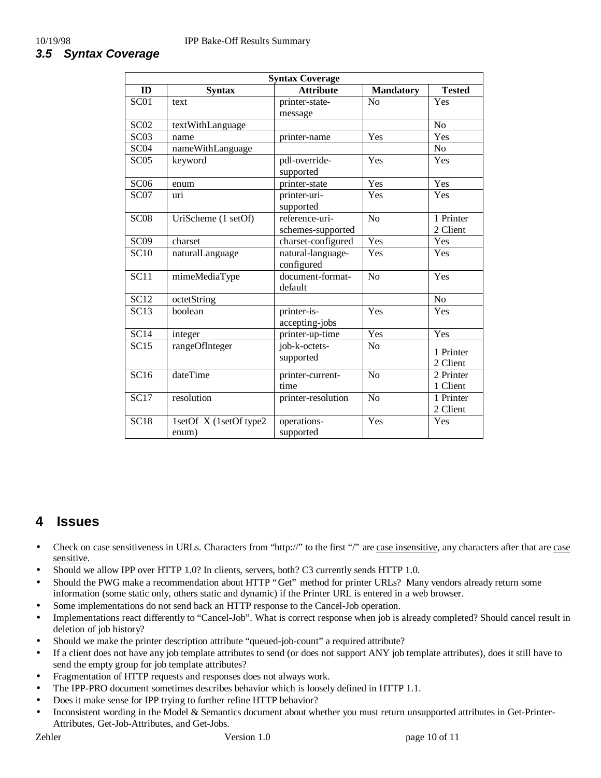| <b>Syntax Coverage</b> |                                 |                                                  |                  |                       |  |  |  |
|------------------------|---------------------------------|--------------------------------------------------|------------------|-----------------------|--|--|--|
| ID                     | <b>Syntax</b>                   | <b>Attribute</b>                                 | <b>Mandatory</b> | <b>Tested</b>         |  |  |  |
| $\overline{SC01}$      | text                            | printer-state-                                   | No               | Yes                   |  |  |  |
|                        |                                 | message                                          |                  |                       |  |  |  |
| SC <sub>02</sub>       | textWithLanguage                |                                                  |                  | N <sub>o</sub>        |  |  |  |
| SC <sub>03</sub>       | name                            | printer-name                                     | Yes              | Yes                   |  |  |  |
| SC <sub>04</sub>       | nameWithLanguage                |                                                  |                  | N <sub>o</sub>        |  |  |  |
| SC05                   | keyword                         | pdl-override-<br>supported                       | Yes              | Yes                   |  |  |  |
| SC <sub>06</sub>       | enum                            | printer-state                                    | Yes              | Yes                   |  |  |  |
| SC07                   | uri                             | printer-uri-                                     | Yes              | Yes                   |  |  |  |
| SC <sub>08</sub>       | UriScheme (1 setOf)             | supported<br>reference-uri-<br>schemes-supported | N <sub>o</sub>   | 1 Printer<br>2 Client |  |  |  |
| SC <sub>09</sub>       | charset                         | charset-configured                               | Yes              | Yes                   |  |  |  |
| <b>SC10</b>            | naturalLanguage                 | natural-language-<br>configured                  | Yes              | Yes                   |  |  |  |
| $\overline{SC11}$      | mimeMediaType                   | document-format-<br>default                      | N <sub>o</sub>   | Yes                   |  |  |  |
| <b>SC12</b>            | octetString                     |                                                  |                  | $\rm No$              |  |  |  |
| SC13                   | boolean                         | printer-is-<br>accepting-jobs                    | Yes              | Yes                   |  |  |  |
| SC14                   | integer                         | printer-up-time                                  | Yes              | Yes                   |  |  |  |
| $\overline{SC15}$      | rangeOfInteger                  | job-k-octets-<br>supported                       | N <sub>o</sub>   | 1 Printer<br>2 Client |  |  |  |
| SC16                   | dateTime                        | printer-current-<br>time                         | N <sub>o</sub>   | 2 Printer<br>1 Client |  |  |  |
| SC17                   | resolution                      | printer-resolution                               | N <sub>o</sub>   | 1 Printer<br>2 Client |  |  |  |
| SC18                   | 1setOf X (1setOf type2<br>enum) | operations-<br>supported                         | Yes              | Yes                   |  |  |  |

#### **4 Issues**

- Check on case sensitiveness in URLs. Characters from "http://" to the first "/" are case insensitive, any characters after that are case sensitive.
- Should we allow IPP over HTTP 1.0? In clients, servers, both? C3 currently sends HTTP 1.0.
- Should the PWG make a recommendation about HTTP "Get" method for printer URLs? Many vendors already return some information (some static only, others static and dynamic) if the Printer URL is entered in a web browser.
- Some implementations do not send back an HTTP response to the Cancel-Job operation.
- Implementations react differently to "Cancel-Job". What is correct response when job is already completed? Should cancel result in deletion of job history?
- Should we make the printer description attribute "queued-job-count" a required attribute?
- If a client does not have any job template attributes to send (or does not support ANY job template attributes), does it still have to send the empty group for job template attributes?
- Fragmentation of HTTP requests and responses does not always work.
- The IPP-PRO document sometimes describes behavior which is loosely defined in HTTP 1.1.
- Does it make sense for IPP trying to further refine HTTP behavior?
- Inconsistent wording in the Model & Semantics document about whether you must return unsupported attributes in Get-Printer-Attributes, Get-Job-Attributes, and Get-Jobs.